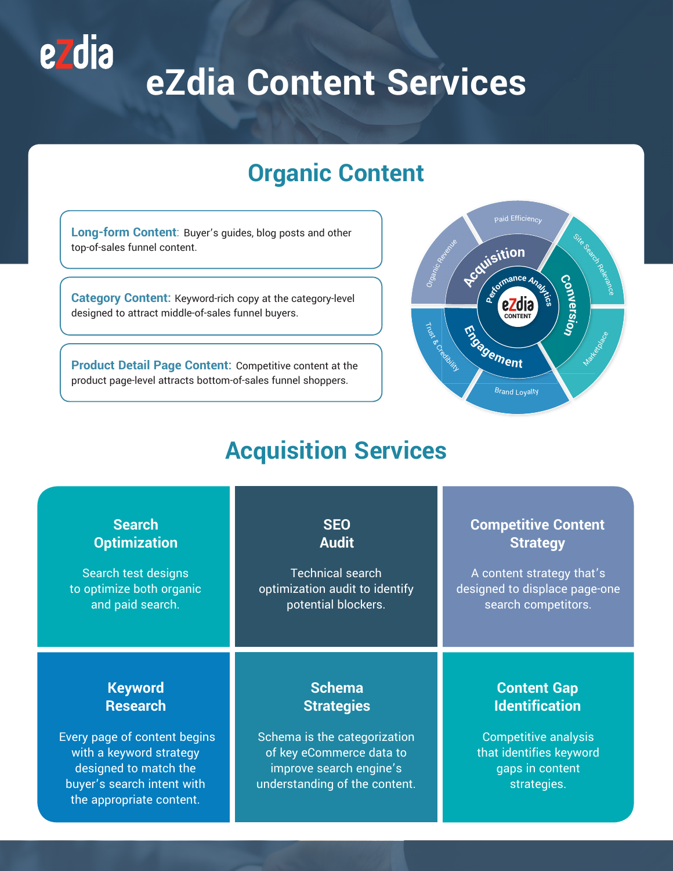# **eZdia Content Services**

## **Organic Content**

**Long-form Content**: Buyer's guides, blog posts and other top-of-sales funnel content.

<u>ezdia</u>

**Category Content:** Keyword-rich copy at the category-level designed to attract middle-of-sales funnel buyers.

**Product Detail Page Content:** Competitive content at the product page-level attracts bottom-of-sales funnel shoppers.



# **Acquisition Services**

| <b>Search</b>                                                                                                                                                                   | <b>SEO</b>                                                                                                                                                 | <b>Competitive Content</b>                                                                                                              |
|---------------------------------------------------------------------------------------------------------------------------------------------------------------------------------|------------------------------------------------------------------------------------------------------------------------------------------------------------|-----------------------------------------------------------------------------------------------------------------------------------------|
| <b>Optimization</b>                                                                                                                                                             | <b>Audit</b>                                                                                                                                               | <b>Strategy</b>                                                                                                                         |
| Search test designs                                                                                                                                                             | <b>Technical search</b>                                                                                                                                    | A content strategy that's                                                                                                               |
| to optimize both organic                                                                                                                                                        | optimization audit to identify                                                                                                                             | designed to displace page-one                                                                                                           |
| and paid search.                                                                                                                                                                | potential blockers.                                                                                                                                        | search competitors.                                                                                                                     |
| <b>Keyword</b><br><b>Research</b><br>Every page of content begins<br>with a keyword strategy<br>designed to match the<br>buyer's search intent with<br>the appropriate content. | <b>Schema</b><br><b>Strategies</b><br>Schema is the categorization<br>of key eCommerce data to<br>improve search engine's<br>understanding of the content. | <b>Content Gap</b><br><b>Identification</b><br><b>Competitive analysis</b><br>that identifies keyword<br>gaps in content<br>strategies. |